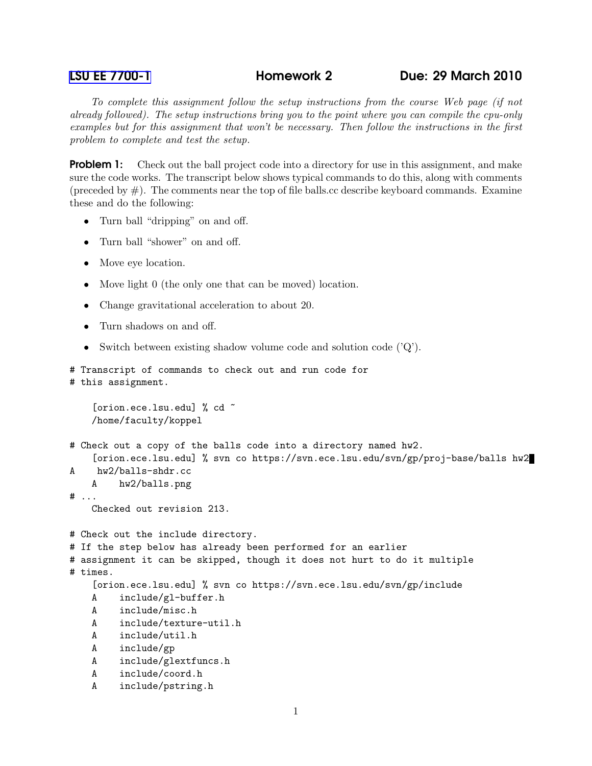## [LSU EE 7700-1](http://www.ece.lsu.edu/gp/) Homework 2 Due: 29 March 2010

To complete this assignment follow the setup instructions from the course Web page (if not already followed). The setup instructions bring you to the point where you can compile the cpu-only examples but for this assignment that won't be necessary. Then follow the instructions in the first problem to complete and test the setup.

**Problem 1:** Check out the ball project code into a directory for use in this assignment, and make sure the code works. The transcript below shows typical commands to do this, along with comments (preceded by  $#$ ). The comments near the top of file balls.cc describe keyboard commands. Examine these and do the following:

- Turn ball "dripping" on and off.
- Turn ball "shower" on and off.
- Move eye location.
- Move light 0 (the only one that can be moved) location.
- Change gravitational acceleration to about 20.
- Turn shadows on and off.
- Switch between existing shadow volume code and solution code  $(Q)$ .

```
# Transcript of commands to check out and run code for
# this assignment.
    [orion.ece.lsu.edu] % cd ~
   /home/faculty/koppel
# Check out a copy of the balls code into a directory named hw2.
    [orion.ece.lsu.edu] % svn co https://svn.ece.lsu.edu/svn/gp/proj-base/balls hw2
A hw2/balls-shdr.cc
   A hw2/balls.png
# ...
   Checked out revision 213.
# Check out the include directory.
# If the step below has already been performed for an earlier
# assignment it can be skipped, though it does not hurt to do it multiple
# times.
    [orion.ece.lsu.edu] % svn co https://svn.ece.lsu.edu/svn/gp/include
   A include/gl-buffer.h
   A include/misc.h
   A include/texture-util.h
   A include/util.h
   A include/gp
   A include/glextfuncs.h
   A include/coord.h
   A include/pstring.h
```